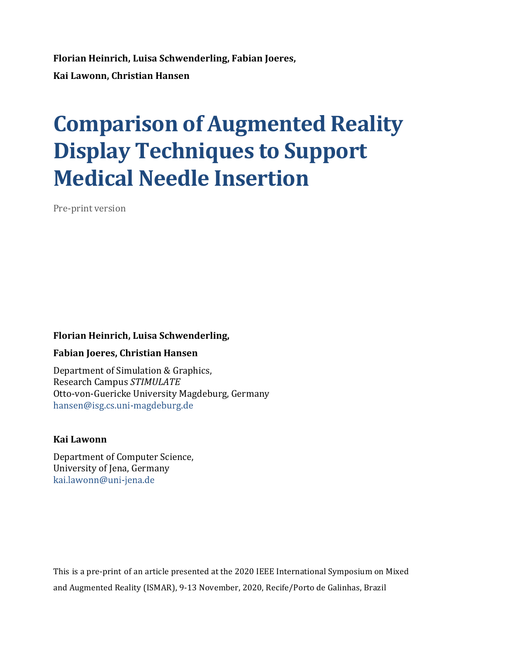**Florian Heinrich, Luisa Schwenderling, Fabian Joeres, Kai Lawonn, Christian Hansen** 

# **Comparison of Augmented Reality Display Techniques to Support Medical Needle Insertion**

Pre-print version

# **Florian Heinrich, Luisa Schwenderling,**

## **Fabian Joeres, Christian Hansen**

Department of Simulation & Graphics, Research Campus *STIMULATE* Otto-von-Guericke University Magdeburg, Germany hansen@isg.cs.uni-magdeburg.de

## **Kai Lawonn**

Department of Computer Science, University of Jena, Germany kai.lawonn@uni-jena.de

This is a pre-print of an article presented at the 2020 IEEE International Symposium on Mixed and Augmented Reality (ISMAR), 9-13 November, 2020, Recife/Porto de Galinhas, Brazil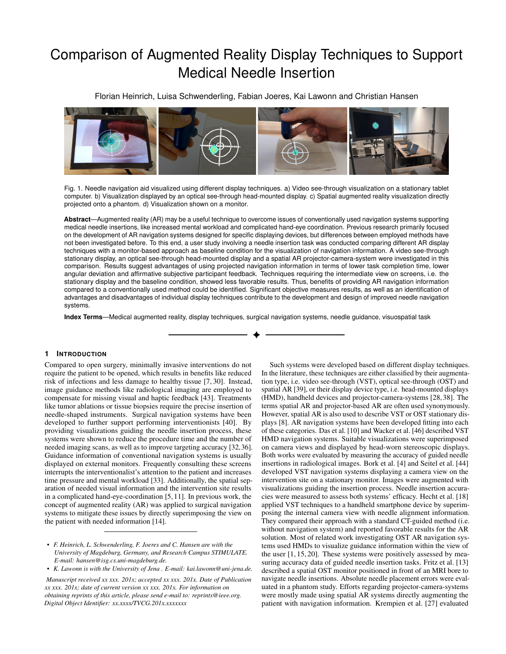# Comparison of Augmented Reality Display Techniques to Support Medical Needle Insertion

Florian Heinrich, Luisa Schwenderling, Fabian Joeres, Kai Lawonn and Christian Hansen



Fig. 1. Needle navigation aid visualized using different display techniques. a) Video see-through visualization on a stationary tablet computer. b) Visualization displayed by an optical see-through head-mounted display. c) Spatial augmented reality visualization directly projected onto a phantom. d) Visualization shown on a monitor.

**Abstract**—Augmented reality (AR) may be a useful technique to overcome issues of conventionally used navigation systems supporting medical needle insertions, like increased mental workload and complicated hand-eye coordination. Previous research primarily focused on the development of AR navigation systems designed for specific displaying devices, but differences between employed methods have not been investigated before. To this end, a user study involving a needle insertion task was conducted comparing different AR display techniques with a monitor-based approach as baseline condition for the visualization of navigation information. A video see-through stationary display, an optical see-through head-mounted display and a spatial AR projector-camera-system were investigated in this comparison. Results suggest advantages of using projected navigation information in terms of lower task completion time, lower angular deviation and affirmative subjective participant feedback. Techniques requiring the intermediate view on screens, i.e. the stationary display and the baseline condition, showed less favorable results. Thus, benefits of providing AR navigation information compared to a conventionally used method could be identified. Significant objective measures results, as well as an identification of advantages and disadvantages of individual display techniques contribute to the development and design of improved needle navigation systems.

**Index Terms**—Medical augmented reality, display techniques, surgical navigation systems, needle guidance, visuospatial task

#### **1 INTRODUCTION**

Compared to open surgery, minimally invasive interventions do not require the patient to be opened, which results in benefits like reduced risk of infections and less damage to healthy tissue [\[7,](#page-7-0) [30\]](#page-8-0). Instead, image guidance methods like radiological imaging are employed to compensate for missing visual and haptic feedback [\[43\]](#page-8-1). Treatments like tumor ablations or tissue biopsies require the precise insertion of needle-shaped instruments. Surgical navigation systems have been developed to further support performing interventionists [\[40\]](#page-8-2). By providing visualizations guiding the needle insertion process, these systems were shown to reduce the procedure time and the number of needed imaging scans, as well as to improve targeting accuracy [\[32,](#page-8-3)[36\]](#page-8-4). Guidance information of conventional navigation systems is usually displayed on external monitors. Frequently consulting these screens interrupts the interventionalist's attention to the patient and increases time pressure and mental workload [\[33\]](#page-8-5). Additionally, the spatial separation of needed visual information and the intervention site results in a complicated hand-eye-coordination [\[5,](#page-7-1) [11\]](#page-7-2). In previous work, the concept of augmented reality (AR) was applied to surgical navigation systems to mitigate these issues by directly superimposing the view on the patient with needed information [\[14\]](#page-7-3).

*Manuscript received xx xxx. 201x; accepted xx xxx. 201x. Date of Publication xx xxx. 201x; date of current version xx xxx. 201x. For information on obtaining reprints of this article, please send e-mail to: reprints@ieee.org. Digital Object Identifier: xx.xxxx/TVCG.201x.xxxxxxx*

Such systems were developed based on different display techniques. In the literature, these techniques are either classified by their augmentation type, i.e. video see-through (VST), optical see-through (OST) and spatial AR [\[39\]](#page-8-6), or their display device type, i.e. head-mounted displays (HMD), handheld devices and projector-camera-systems [\[28,](#page-8-7) [38\]](#page-8-8). The terms spatial AR and projector-based AR are often used synonymously. However, spatial AR is also used to describe VST or OST stationary displays [\[8\]](#page-7-4). AR navigation systems have been developed fitting into each of these categories. Das et al. [\[10\]](#page-7-5) and Wacker et al. [\[46\]](#page-8-9) described VST HMD navigation systems. Suitable visualizations were superimposed on camera views and displayed by head-worn stereoscopic displays. Both works were evaluated by measuring the accuracy of guided needle insertions in radiological images. Bork et al. [\[4\]](#page-7-6) and Seitel et al. [\[44\]](#page-8-10) developed VST navigation systems displaying a camera view on the intervention site on a stationary monitor. Images were augmented with visualizations guiding the insertion process. Needle insertion accuracies were measured to assess both systems' efficacy. Hecht et al. [\[18\]](#page-8-11) applied VST techniques to a handheld smartphone device by superimposing the internal camera view with needle alignment information. They compared their approach with a standard CT-guided method (i.e. without navigation system) and reported favorable results for the AR solution. Most of related work investigating OST AR navigation systems used HMDs to visualize guidance information within the view of the user [\[1,](#page-7-7) [15,](#page-7-8) [20\]](#page-8-12). These systems were positively assessed by measuring accuracy data of guided needle insertion tasks. Fritz et al. [\[13\]](#page-7-9) described a spatial OST monitor positioned in front of an MRI bore to navigate needle insertions. Absolute needle placement errors were evaluated in a phantom study. Efforts regarding projector-camera-systems were mostly made using spatial AR systems directly augmenting the patient with navigation information. Krempien et al. [\[27\]](#page-8-13) evaluated

*<sup>•</sup> F. Heinrich, L. Schwenderling, F. Joeres and C. Hansen are with the University of Magdeburg, Germany, and Research Campus STIMULATE. E-mail: hansen@isg.cs.uni-magdeburg.de.*

*<sup>•</sup> K. Lawonn is with the University of Jena . E-mail: kai.lawonn@uni-jena.de.*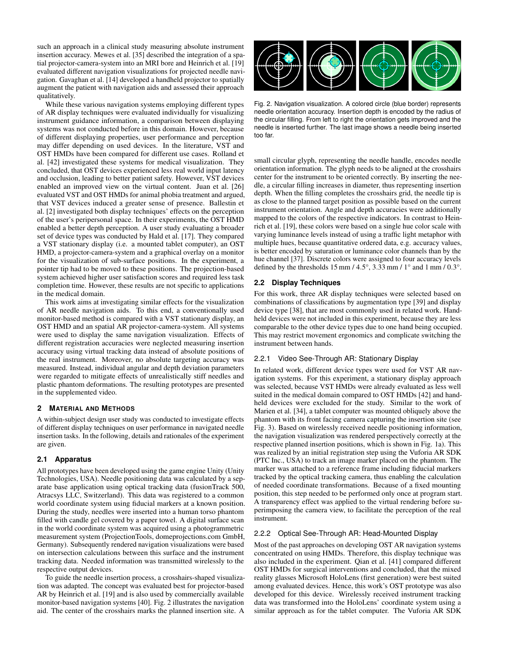such an approach in a clinical study measuring absolute instrument insertion accuracy. Mewes et al. [\[35\]](#page-8-14) described the integration of a spatial projector-camera-system into an MRI bore and Heinrich et al. [\[19\]](#page-8-15) evaluated different navigation visualizations for projected needle navigation. Gavaghan et al. [\[14\]](#page-7-3) developed a handheld projector to spatially augment the patient with navigation aids and assessed their approach qualitatively.

While these various navigation systems employing different types of AR display techniques were evaluated individually for visualizing instrument guidance information, a comparison between displaying systems was not conducted before in this domain. However, because of different displaying properties, user performance and perception may differ depending on used devices. In the literature, VST and OST HMDs have been compared for different use cases. Rolland et al. [\[42\]](#page-8-16) investigated these systems for medical visualization. They concluded, that OST devices experienced less real world input latency and occlusion, leading to better patient safety. However, VST devices enabled an improved view on the virtual content. Juan et al. [\[26\]](#page-8-17) evaluated VST and OST HMDs for animal phobia treatment and argued, that VST devices induced a greater sense of presence. Ballestin et al. [\[2\]](#page-7-10) investigated both display techniques' effects on the perception of the user's peripersonal space. In their experiments, the OST HMD enabled a better depth perception. A user study evaluating a broader set of device types was conducted by Hald et al. [\[17\]](#page-8-18). They compared a VST stationary display (i.e. a mounted tablet computer), an OST HMD, a projector-camera-system and a graphical overlay on a monitor for the visualization of sub-surface positions. In the experiment, a pointer tip had to be moved to these positions. The projection-based system achieved higher user satisfaction scores and required less task completion time. However, these results are not specific to applications in the medical domain.

This work aims at investigating similar effects for the visualization of AR needle navigation aids. To this end, a conventionally used monitor-based method is compared with a VST stationary display, an OST HMD and an spatial AR projector-camera-system. All systems were used to display the same navigation visualization. Effects of different registration accuracies were neglected measuring insertion accuracy using virtual tracking data instead of absolute positions of the real instrument. Moreover, no absolute targeting accuracy was measured. Instead, individual angular and depth deviation parameters were regarded to mitigate effects of unrealistically stiff needles and plastic phantom deformations. The resulting prototypes are presented in the supplemented video.

#### **2 MATERIAL AND METHODS**

A within-subject design user study was conducted to investigate effects of different display techniques on user performance in navigated needle insertion tasks. In the following, details and rationales of the experiment are given.

#### **2.1 Apparatus**

All prototypes have been developed using the game engine Unity (Unity Technologies, USA). Needle positioning data was calculated by a separate base application using optical tracking data (fusionTrack 500, Atracsys LLC, Switzerland). This data was registered to a common world coordinate system using fiducial markers at a known position. During the study, needles were inserted into a human torso phantom filled with candle gel covered by a paper towel. A digital surface scan in the world coordinate system was acquired using a photogrammetric measurement system (ProjectionTools, domeprojections.com GmbH, Germany). Subsequently rendered navigation visualizations were based on intersection calculations between this surface and the instrument tracking data. Needed information was transmitted wirelessly to the respective output devices.

To guide the needle insertion process, a crosshairs-shaped visualization was adapted. The concept was evaluated best for projector-based AR by Heinrich et al. [\[19\]](#page-8-15) and is also used by commercially available monitor-based navigation systems [\[40\]](#page-8-2). [Fig. 2](#page-2-0) illustrates the navigation aid. The center of the crosshairs marks the planned insertion site. A



<span id="page-2-0"></span>Fig. 2. Navigation visualization. A colored circle (blue border) represents needle orientation accuracy. Insertion depth is encoded by the radius of the circular filling. From left to right the orientation gets improved and the needle is inserted further. The last image shows a needle being inserted too far.

small circular glyph, representing the needle handle, encodes needle orientation information. The glyph needs to be aligned at the crosshairs center for the instrument to be oriented correctly. By inserting the needle, a circular filling increases in diameter, thus representing insertion depth. When the filling completes the crosshairs grid, the needle tip is as close to the planned target position as possible based on the current instrument orientation. Angle and depth accuracies were additionally mapped to the colors of the respective indicators. In contrast to Heinrich et al. [\[19\]](#page-8-15), these colors were based on a single hue color scale with varying luminance levels instead of using a traffic light metaphor with multiple hues, because quantitative ordered data, e.g. accuracy values, is better encoded by saturation or luminance color channels than by the hue channel [\[37\]](#page-8-19). Discrete colors were assigned to four accuracy levels defined by the thresholds  $15 \text{ mm}$  /  $4.5^{\circ}$ ,  $3.33 \text{ mm}$  /  $1^{\circ}$  and  $1 \text{ mm}$  /  $0.3^{\circ}$ .

#### **2.2 Display Techniques**

For this work, three AR display techniques were selected based on combinations of classifications by augmentation type [\[39\]](#page-8-6) and display device type [\[38\]](#page-8-8), that are most commonly used in related work. Handheld devices were not included in this experiment, because they are less comparable to the other device types due to one hand being occupied. This may restrict movement ergonomics and complicate switching the instrument between hands.

#### 2.2.1 Video See-Through AR: Stationary Display

In related work, different device types were used for VST AR navigation systems. For this experiment, a stationary display approach was selected, because VST HMDs were already evaluated as less well suited in the medical domain compared to OST HMDs [\[42\]](#page-8-16) and handheld devices were excluded for the study. Similar to the work of Marien et al. [\[34\]](#page-8-20), a tablet computer was mounted obliquely above the phantom with its front facing camera capturing the insertion site (see [Fig. 3\)](#page-3-0). Based on wirelessly received needle positioning information, the navigation visualization was rendered perspectively correctly at the respective planned insertion positions, which is shown in Fig. 1a). This was realized by an initial registration step using the Vuforia AR SDK (PTC Inc., USA) to track an image marker placed on the phantom. The marker was attached to a reference frame including fiducial markers tracked by the optical tracking camera, thus enabling the calculation of needed coordinate transformations. Because of a fixed mounting position, this step needed to be performed only once at program start. A transparency effect was applied to the virtual rendering before superimposing the camera view, to facilitate the perception of the real instrument.

#### 2.2.2 Optical See-Through AR: Head-Mounted Display

Most of the past approaches on developing OST AR navigation systems concentrated on using HMDs. Therefore, this display technique was also included in the experiment. Qian et al. [\[41\]](#page-8-21) compared different OST HMDs for surgical interventions and concluded, that the mixed reality glasses Microsoft HoloLens (first generation) were best suited among evaluated devices. Hence, this work's OST prototype was also developed for this device. Wirelessly received instrument tracking data was transformed into the HoloLens' coordinate system using a similar approach as for the tablet computer. The Vuforia AR SDK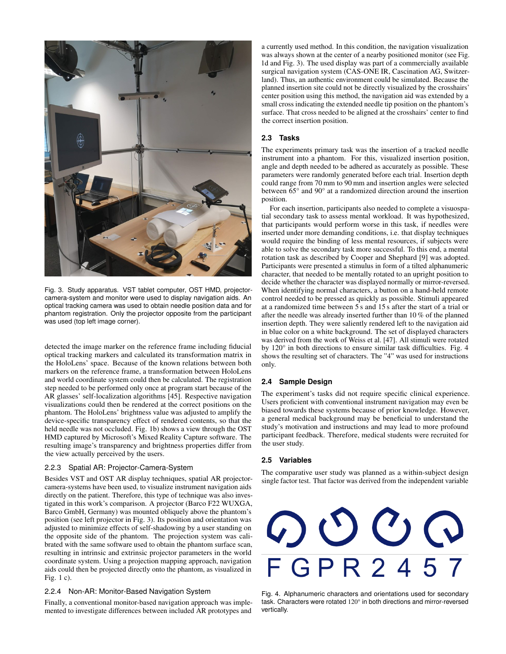

Fig. 3. Study apparatus. VST tablet computer, OST HMD, projectorcamera-system and monitor were used to display navigation aids. An optical tracking camera was used to obtain needle position data and for phantom registration. Only the projector opposite from the participant was used (top left image corner).

<span id="page-3-0"></span>detected the image marker on the reference frame including fiducial optical tracking markers and calculated its transformation matrix in the HoloLens' space. Because of the known relations between both markers on the reference frame, a transformation between HoloLens and world coordinate system could then be calculated. The registration step needed to be performed only once at program start because of the AR glasses' self-localization algorithms [\[45\]](#page-8-22). Respective navigation visualizations could then be rendered at the correct positions on the phantom. The HoloLens' brightness value was adjusted to amplify the device-specific transparency effect of rendered contents, so that the held needle was not occluded. Fig. 1b) shows a view through the OST HMD captured by Microsoft's Mixed Reality Capture software. The resulting image's transparency and brightness properties differ from the view actually perceived by the users.

#### 2.2.3 Spatial AR: Projector-Camera-System

Besides VST and OST AR display techniques, spatial AR projectorcamera-systems have been used, to visualize instrument navigation aids directly on the patient. Therefore, this type of technique was also investigated in this work's comparison. A projector (Barco F22 WUXGA, Barco GmbH, Germany) was mounted obliquely above the phantom's position (see left projector in [Fig. 3\)](#page-3-0). Its position and orientation was adjusted to minimize effects of self-shadowing by a user standing on the opposite side of the phantom. The projection system was calibrated with the same software used to obtain the phantom surface scan, resulting in intrinsic and extrinsic projector parameters in the world coordinate system. Using a projection mapping approach, navigation aids could then be projected directly onto the phantom, as visualized in Fig. 1 c).

#### 2.2.4 Non-AR: Monitor-Based Navigation System

Finally, a conventional monitor-based navigation approach was implemented to investigate differences between included AR prototypes and

a currently used method. In this condition, the navigation visualization was always shown at the center of a nearby positioned monitor (see Fig. 1d and [Fig. 3\)](#page-3-0). The used display was part of a commercially available surgical navigation system (CAS-ONE IR, Cascination AG, Switzerland). Thus, an authentic environment could be simulated. Because the planned insertion site could not be directly visualized by the crosshairs' center position using this method, the navigation aid was extended by a small cross indicating the extended needle tip position on the phantom's surface. That cross needed to be aligned at the crosshairs' center to find the correct insertion position.

#### **2.3 Tasks**

The experiments primary task was the insertion of a tracked needle instrument into a phantom. For this, visualized insertion position, angle and depth needed to be adhered as accurately as possible. These parameters were randomly generated before each trial. Insertion depth could range from 70 mm to 90 mm and insertion angles were selected between 65° and 90° at a randomized direction around the insertion position.

For each insertion, participants also needed to complete a visuospatial secondary task to assess mental workload. It was hypothesized, that participants would perform worse in this task, if needles were inserted under more demanding conditions, i.e. that display techniques would require the binding of less mental resources, if subjects were able to solve the secondary task more successful. To this end, a mental rotation task as described by Cooper and Shephard [\[9\]](#page-7-11) was adopted. Participants were presented a stimulus in form of a tilted alphanumeric character, that needed to be mentally rotated to an upright position to decide whether the character was displayed normally or mirror-reversed. When identifying normal characters, a button on a hand-held remote control needed to be pressed as quickly as possible. Stimuli appeared at a randomized time between 5 s and 15 s after the start of a trial or after the needle was already inserted further than 10 % of the planned insertion depth. They were saliently rendered left to the navigation aid in blue color on a white background. The set of displayed characters was derived from the work of Weiss et al. [\[47\]](#page-8-23). All stimuli were rotated by 120° in both directions to ensure similar task difficulties. [Fig. 4](#page-3-1) shows the resulting set of characters. The "4" was used for instructions only.

#### **2.4 Sample Design**

The experiment's tasks did not require specific clinical experience. Users proficient with conventional instrument navigation may even be biased towards these systems because of prior knowledge. However, a general medical background may be beneficial to understand the study's motivation and instructions and may lead to more profound participant feedback. Therefore, medical students were recruited for the user study.

#### **2.5 Variables**

The comparative user study was planned as a within-subject design single factor test. That factor was derived from the independent variable



<span id="page-3-1"></span>Fig. 4. Alphanumeric characters and orientations used for secondary task. Characters were rotated 120° in both directions and mirror-reversed vertically.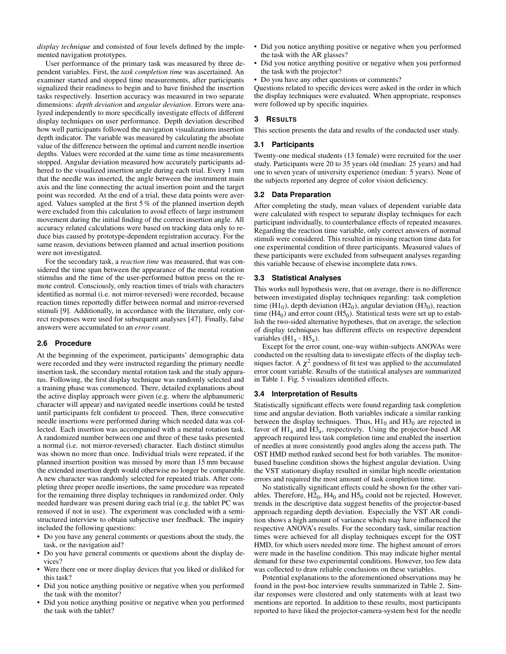*display technique* and consisted of four levels defined by the implemented navigation prototypes.

User performance of the primary task was measured by three dependent variables. First, the *task completion time* was ascertained. An examiner started and stopped time measurements, after participants signalized their readiness to begin and to have finished the insertion tasks respectively. Insertion accuracy was measured in two separate dimensions: *depth deviation* and *angular deviation*. Errors were analyzed independently to more specifically investigate effects of different display techniques on user performance. Depth deviation described how well participants followed the navigation visualizations insertion depth indicator. The variable was measured by calculating the absolute value of the difference between the optimal and current needle insertion depths. Values were recorded at the same time as time measurements stopped. Angular deviation measured how accurately participants adhered to the visualized insertion angle during each trial. Every 1 mm that the needle was inserted, the angle between the instrument main axis and the line connecting the actual insertion point and the target point was recorded. At the end of a trial, these data points were averaged. Values sampled at the first 5 % of the planned insertion depth were excluded from this calculation to avoid effects of large instrument movement during the initial finding of the correct insertion angle. All accuracy related calculations were based on tracking data only to reduce bias caused by prototype-dependent registration accuracy. For the same reason, deviations between planned and actual insertion positions were not investigated.

For the secondary task, a *reaction time* was measured, that was considered the time span between the appearance of the mental rotation stimulus and the time of the user-performed button press on the remote control. Consciously, only reaction times of trials with characters identified as normal (i.e. not mirror-reversed) were recorded, because reaction times reportedly differ between normal and mirror-reversed stimuli [\[9\]](#page-7-11). Additionally, in accordance with the literature, only correct responses were used for subsequent analyses [\[47\]](#page-8-23). Finally, false answers were accumulated to an *error count*.

#### **2.6 Procedure**

At the beginning of the experiment, participants' demographic data were recorded and they were instructed regarding the primary needle insertion task, the secondary mental rotation task and the study apparatus. Following, the first display technique was randomly selected and a training phase was commenced. There, detailed explanations about the active display approach were given (e.g. where the alphanumeric character will appear) and navigated needle insertions could be tested until participants felt confident to proceed. Then, three consecutive needle insertions were performed during which needed data was collected. Each insertion was accompanied with a mental rotation task. A randomized number between one and three of these tasks presented a normal (i.e. not mirror-reversed) character. Each distinct stimulus was shown no more than once. Individual trials were repeated, if the planned insertion position was missed by more than 15 mm because the extended insertion depth would otherwise no longer be comparable. A new character was randomly selected for repeated trials. After completing three proper needle insertions, the same procedure was repeated for the remaining three display techniques in randomized order. Only needed hardware was present during each trial (e.g. the tablet PC was removed if not in use). The experiment was concluded with a semistructured interview to obtain subjective user feedback. The inquiry included the following questions:

- Do you have any general comments or questions about the study, the task, or the navigation aid?
- Do you have general comments or questions about the display devices?
- Were there one or more display devices that you liked or disliked for this task?
- Did you notice anything positive or negative when you performed the task with the monitor?
- Did you notice anything positive or negative when you performed the task with the tablet?
- Did you notice anything positive or negative when you performed the task with the AR glasses?
- Did you notice anything positive or negative when you performed the task with the projector?
- Do you have any other questions or comments?

Questions related to specific devices were asked in the order in which the display techniques were evaluated. When appropriate, responses were followed up by specific inquiries.

#### **3 RESULTS**

This section presents the data and results of the conducted user study.

#### **3.1 Participants**

Twenty-one medical students (13 female) were recruited for the user study. Participants were 20 to 35 years old (median: 25 years) and had one to seven years of university experience (median: 5 years). None of the subjects reported any degree of color vision deficiency.

#### **3.2 Data Preparation**

After completing the study, mean values of dependent variable data were calculated with respect to separate display techniques for each participant individually, to counterbalance effects of repeated measures. Regarding the reaction time variable, only correct answers of normal stimuli were considered. This resulted in missing reaction time data for one experimental condition of three participants. Measured values of these participants were excluded from subsequent analyses regarding this variable because of elsewise incomplete data rows.

#### **3.3 Statistical Analyses**

This works null hypothesis were, that on average, there is no difference between investigated display techniques regarding: task completion time (H1<sub>0</sub>), depth deviation (H2<sub>0</sub>), angular deviation (H3<sub>0</sub>), reaction time  $(H4<sub>0</sub>)$  and error count  $(H5<sub>0</sub>)$ . Statistical tests were set up to establish the two-sided alternative hypotheses, that on average, the selection of display techniques has different effects on respective dependent variables (H1<sub>a</sub> - H5<sub>a</sub>).

Except for the error count, one-way within-subjects ANOVAs were conducted on the resulting data to investigate effects of the display techniques factor. A  $\chi^2$  goodness of fit test was applied to the accumulated error count variable. Results of the statistical analyses are summarized in [Table 1.](#page-5-0) [Fig. 5](#page-5-1) visualizes identified effects.

#### **3.4 Interpretation of Results**

Statistically significant effects were found regarding task completion time and angular deviation. Both variables indicate a similar ranking between the display techniques. Thus,  $H1<sub>0</sub>$  and  $H3<sub>0</sub>$  are rejected in favor of  $H1_a$  and  $H3_a$ , respectively. Using the projector-based AR approach required less task completion time and enabled the insertion of needles at more consistently good angles along the access path. The OST HMD method ranked second best for both variables. The monitorbased baseline condition shows the highest angular deviation. Using the VST stationary display resulted in similar high needle orientation errors and required the most amount of task completion time.

No statistically significant effects could be shown for the other variables. Therefore,  $H2_0$ ,  $H4_0$  and  $H5_0$  could not be rejected. However, trends in the descriptive data suggest benefits of the projector-based approach regarding depth deviation. Especially the VST AR condition shows a high amount of variance which may have influenced the respective ANOVA's results. For the secondary task, similar reaction times were achieved for all display techniques except for the OST HMD, for which users needed more time. The highest amount of errors were made in the baseline condition. This may indicate higher mental demand for these two experimental conditions. However, too few data was collected to draw reliable conclusions on these variables.

Potential explanations to the aforementioned observations may be found in the post-hoc interview results summarized in [Table 2.](#page-6-0) Similar responses were clustered and only statements with at least two mentions are reported. In addition to these results, most participants reported to have liked the projector-camera-system best for the needle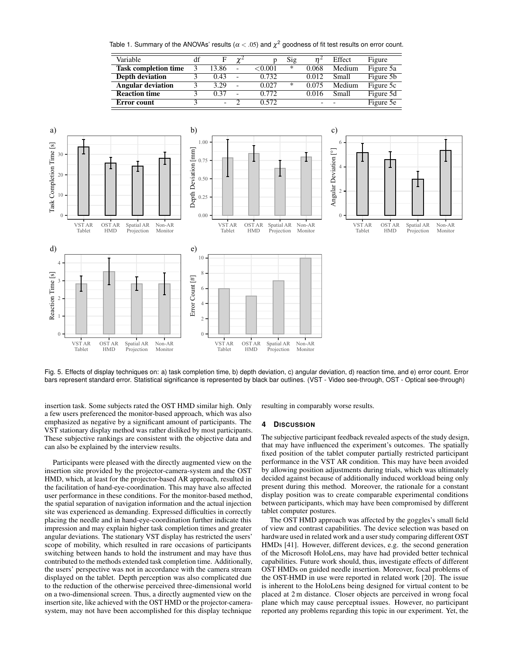<span id="page-5-0"></span>Table 1. Summary of the ANOVAs' results ( $\alpha$  < .05) and  $\chi^2$  goodness of fit test results on error count.

| Variable                    |       | $\sim$ |         | $\mathrm{Sig}$ |       | Effect | Figure    |
|-----------------------------|-------|--------|---------|----------------|-------|--------|-----------|
| <b>Task completion time</b> | 13.86 |        | < 0.001 | ∗              | 0.068 | Medium | Figure 5a |
| <b>Depth deviation</b>      | 0.43  |        | 0.732   |                | 0.012 | Small  | Figure 5b |
| <b>Angular deviation</b>    | 3.29  |        | 0.027   | ∗              | 0.075 | Medium | Figure 5c |
| <b>Reaction time</b>        | 0.37  |        | 0.772   |                | 0.016 | Small  | Figure 5d |
| <b>Error</b> count          |       |        | 0.572   |                |       |        | Figure 5e |



<span id="page-5-1"></span>Fig. 5. Effects of display techniques on: a) task completion time, b) depth deviation, c) angular deviation, d) reaction time, and e) error count. Error bars represent standard error. Statistical significance is represented by black bar outlines. (VST - Video see-through, OST - Optical see-through)

insertion task. Some subjects rated the OST HMD similar high. Only a few users preferenced the monitor-based approach, which was also emphasized as negative by a significant amount of participants. The VST stationary display method was rather disliked by most participants. These subjective rankings are consistent with the objective data and can also be explained by the interview results.

Participants were pleased with the directly augmented view on the insertion site provided by the projector-camera-system and the OST HMD, which, at least for the projector-based AR approach, resulted in the facilitation of hand-eye-coordination. This may have also affected user performance in these conditions. For the monitor-based method, the spatial separation of navigation information and the actual injection site was experienced as demanding. Expressed difficulties in correctly placing the needle and in hand-eye-coordination further indicate this impression and may explain higher task completion times and greater angular deviations. The stationary VST display has restricted the users' scope of mobility, which resulted in rare occasions of participants switching between hands to hold the instrument and may have thus contributed to the methods extended task completion time. Additionally, the users' perspective was not in accordance with the camera stream displayed on the tablet. Depth perception was also complicated due to the reduction of the otherwise perceived three-dimensional world on a two-dimensional screen. Thus, a directly augmented view on the insertion site, like achieved with the OST HMD or the projector-camerasystem, may not have been accomplished for this display technique

resulting in comparably worse results.

#### **4 DISCUSSION**

The subjective participant feedback revealed aspects of the study design, that may have influenced the experiment's outcomes. The spatially fixed position of the tablet computer partially restricted participant performance in the VST AR condition. This may have been avoided by allowing position adjustments during trials, which was ultimately decided against because of additionally induced workload being only present during this method. Moreover, the rationale for a constant display position was to create comparable experimental conditions between participants, which may have been compromised by different tablet computer postures.

The OST HMD approach was affected by the goggles's small field of view and contrast capabilities. The device selection was based on hardware used in related work and a user study comparing different OST HMDs [\[41\]](#page-8-21). However, different devices, e.g. the second generation of the Microsoft HoloLens, may have had provided better technical capabilities. Future work should, thus, investigate effects of different OST HMDs on guided needle insertion. Moreover, focal problems of the OST-HMD in use were reported in related work [\[20\]](#page-8-12). The issue is inherent to the HoloLens being designed for virtual content to be placed at 2 m distance. Closer objects are perceived in wrong focal plane which may cause perceptual issues. However, no participant reported any problems regarding this topic in our experiment. Yet, the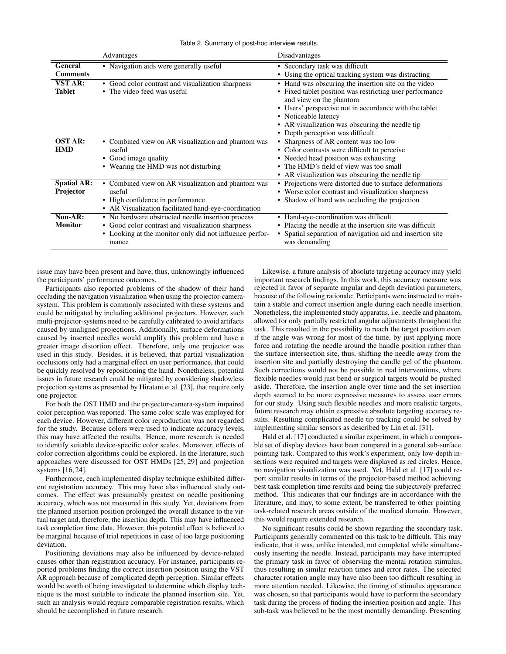<span id="page-6-0"></span>

|                    | Advantages                                                       | Disadvantages                                                                       |  |  |  |
|--------------------|------------------------------------------------------------------|-------------------------------------------------------------------------------------|--|--|--|
| <b>General</b>     | • Navigation aids were generally useful                          | • Secondary task was difficult                                                      |  |  |  |
| <b>Comments</b>    |                                                                  | • Using the optical tracking system was distracting                                 |  |  |  |
| VST AR:            | • Good color contrast and visualization sharpness                | • Hand was obscuring the insertion site on the video                                |  |  |  |
| <b>Tablet</b>      | • The video feed was useful                                      | • Fixed tablet position was restricting user performance<br>and view on the phantom |  |  |  |
|                    |                                                                  | • Users' perspective not in accordance with the tablet                              |  |  |  |
|                    |                                                                  | • Noticeable latency                                                                |  |  |  |
|                    |                                                                  | • AR visualization was obscuring the needle tip                                     |  |  |  |
|                    |                                                                  | • Depth perception was difficult                                                    |  |  |  |
| <b>OST AR:</b>     | • Combined view on AR visualization and phantom was              | • Sharpness of AR content was too low                                               |  |  |  |
| <b>HMD</b>         | useful                                                           | • Color contrasts were difficult to perceive                                        |  |  |  |
|                    | • Good image quality                                             | • Needed head position was exhausting                                               |  |  |  |
|                    | • Wearing the HMD was not disturbing                             | • The HMD's field of view was too small                                             |  |  |  |
|                    |                                                                  | • AR visualization was obscuring the needle tip                                     |  |  |  |
| <b>Spatial AR:</b> | • Combined view on AR visualization and phantom was              | • Projections were distorted due to surface deformations                            |  |  |  |
| Projector          | useful                                                           | • Worse color contrast and visualization sharpness                                  |  |  |  |
|                    | • High confidence in performance                                 | • Shadow of hand was occluding the projection                                       |  |  |  |
|                    | • AR Visualization facilitated hand-eye-coordination             |                                                                                     |  |  |  |
| Non-AR:            | • No hardware obstructed needle insertion process                | • Hand-eye-coordination was difficult                                               |  |  |  |
| <b>Monitor</b>     | • Good color contrast and visualization sharpness                | • Placing the needle at the insertion site was difficult                            |  |  |  |
|                    | • Looking at the monitor only did not influence perfor-<br>mance | • Spatial separation of navigation aid and insertion site<br>was demanding          |  |  |  |

issue may have been present and have, thus, unknowingly influenced the participants' performance outcomes.

Participants also reported problems of the shadow of their hand occluding the navigation visualization when using the projector-camerasystem. This problem is commonly associated with these systems and could be mitigated by including additional projectors. However, such multi-projector-systems need to be carefully calibrated to avoid artifacts caused by unaligned projections. Additionally, surface deformations caused by inserted needles would amplify this problem and have a greater image distortion effect. Therefore, only one projector was used in this study. Besides, it is believed, that partial visualization occlusions only had a marginal effect on user performance, that could be quickly resolved by repositioning the hand. Nonetheless, potential issues in future research could be mitigated by considering shadowless projection systems as presented by Hiratani et al. [\[23\]](#page-8-24), that require only one projector.

For both the OST HMD and the projector-camera-system impaired color perception was reported. The same color scale was employed for each device. However, different color reproduction was not regarded for the study. Because colors were used to indicate accuracy levels, this may have affected the results. Hence, more research is needed to identify suitable device-specific color scales. Moreover, effects of color correction algorithms could be explored. In the literature, such approaches were discussed for OST HMDs [\[25,](#page-8-25) [29\]](#page-8-26) and projection systems [\[16,](#page-7-12) [24\]](#page-8-27).

Furthermore, each implemented display technique exhibited different registration accuracy. This may have also influenced study outcomes. The effect was presumably greatest on needle positioning accuracy, which was not measured in this study. Yet, deviations from the planned insertion position prolonged the overall distance to the virtual target and, therefore, the insertion depth. This may have influenced task completion time data. However, this potential effect is believed to be marginal because of trial repetitions in case of too large positioning deviation.

Positioning deviations may also be influenced by device-related causes other than registration accuracy. For instance, participants reported problems finding the correct insertion position using the VST AR approach because of complicated depth perception. Similar effects would be worth of being investigated to determine which display technique is the most suitable to indicate the planned insertion site. Yet, such an analysis would require comparable registration results, which should be accomplished in future research.

Likewise, a future analysis of absolute targeting accuracy may yield important research findings. In this work, this accuracy measure was rejected in favor of separate angular and depth deviation parameters, because of the following rationale: Participants were instructed to maintain a stable and correct insertion angle during each needle insertion. Nonetheless, the implemented study apparatus, i.e. needle and phantom, allowed for only partially restricted angular adjustments throughout the task. This resulted in the possibility to reach the target position even if the angle was wrong for most of the time, by just applying more force and rotating the needle around the handle position rather than the surface intersection site, thus, shifting the needle away from the insertion site and partially destroying the candle gel of the phantom. Such corrections would not be possible in real interventions, where flexible needles would just bend or surgical targets would be pushed aside. Therefore, the insertion angle over time and the set insertion depth seemed to be more expressive measures to assess user errors for our study. Using such flexible needles and more realistic targets, future research may obtain expressive absolute targeting accuracy results. Resulting complicated needle tip tracking could be solved by implementing similar sensors as described by Lin et al. [\[31\]](#page-8-28).

Hald et al. [\[17\]](#page-8-18) conducted a similar experiment, in which a comparable set of display devices have been compared in a general sub-surface pointing task. Compared to this work's experiment, only low-depth insertions were required and targets were displayed as red circles. Hence, no navigation visualization was used. Yet, Hald et al. [\[17\]](#page-8-18) could report similar results in terms of the projector-based method achieving best task completion time results and being the subjectively preferred method. This indicates that our findings are in accordance with the literature, and may, to some extent, be transferred to other pointing task-related research areas outside of the medical domain. However, this would require extended research.

No significant results could be shown regarding the secondary task. Participants generally commented on this task to be difficult. This may indicate, that it was, unlike intended, not completed while simultaneously inserting the needle. Instead, participants may have interrupted the primary task in favor of observing the mental rotation stimulus, thus resulting in similar reaction times and error rates. The selected character rotation angle may have also been too difficult resulting in more attention needed. Likewise, the timing of stimulus appearance was chosen, so that participants would have to perform the secondary task during the process of finding the insertion position and angle. This sub-task was believed to be the most mentally demanding. Presenting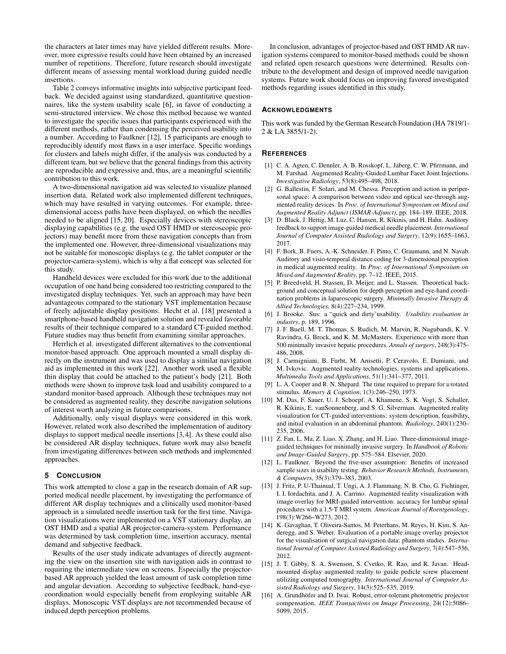the characters at later times may have yielded different results. Moreover, more expressive results could have been obtained by an increased number of repetitions. Therefore, future research should investigate different means of assessing mental workload during guided needle insertions.

[Table 2](#page-6-0) conveys informative insights into subjective participant feedback. We decided against using standardized, quantitative questionnaires, like the system usability scale [\[6\]](#page-7-13), in favor of conducting a semi-structured interview. We chose this method because we wanted to investigate the specific issues that participants experienced with the different methods, rather than condensing the perceived usability into a number. According to Faulkner [\[12\]](#page-7-14), 15 participants are enough to reproducibly identify most flaws in a user interface. Specific wordings for clusters and labels might differ, if the analysis was conducted by a different team, but we believe that the general findings from this activity are reproducible and expressive and, thus, are a meaningful scientific contribution to this work.

A two-dimensional navigation aid was selected to visualize planned insertion data. Related work also implemented different techniques, which may have resulted in varying outcomes. For example, threedimensional access paths have been displayed, on which the needles needed to be aligned [\[15,](#page-7-8) [20\]](#page-8-12). Especially devices with stereoscopic displaying capabilities (e.g. the used OST HMD or stereoscopic projectors) may benefit more from these navigation concepts than from the implemented one. However, three-dimensional visualizations may not be suitable for monoscopic displays (e.g. the tablet computer or the projector-camera-system), which is why a flat concept was selected for this study.

Handheld devices were excluded for this work due to the additional occupation of one hand being considered too restricting compared to the investigated display techniques. Yet, such an approach may have been advantageous compared to the stationary VST implementation because of freely adjustable display positions. Hecht et al. [\[18\]](#page-8-11) presented a smartphone-based handheld navigation solution and revealed favorable results of their technique compared to a standard CT-guided method. Future studies may thus benefit from examining similar approaches.

Herrlich et al. investigated different alternatives to the conventional monitor-based approach. One approach mounted a small display directly on the instrument and was used to display a similar navigation aid as implemented in this work [\[22\]](#page-8-29). Another work used a flexible thin display that could be attached to the patient's body [\[21\]](#page-8-30). Both methods were shown to improve task load and usability compared to a standard monitor-based approach. Although these techniques may not be considered as augmented reality, they describe navigation solutions of interest worth analyzing in future comparisons.

Additionally, only visual displays were considered in this work. However, related work also described the implementation of auditory displays to support medical needle insertions [\[3,](#page-7-15) [4\]](#page-7-6). As these could also be considered AR display techniques, future work may also benefit from investigating differences between such methods and implemented approaches.

#### **5 CONCLUSION**

This work attempted to close a gap in the research domain of AR supported medical needle placement, by investigating the performance of different AR display techniques and a clinically used monitor-based approach in a simulated needle insertion task for the first time. Navigation visualizations were implemented on a VST stationary display, an OST HMD and a spatial AR projector-camera-system. Performance was determined by task completion time, insertion accuracy, mental demand and subjective feedback.

Results of the user study indicate advantages of directly augmenting the view on the insertion site with navigation aids in contrast to requiring the intermediate view on screens. Especially the projectorbased AR approach yielded the least amount of task completion time and angular deviation. According to subjective feedback, hand-eyecoordination would especially benefit from employing suitable AR displays. Monoscopic VST displays are not recommended because of induced depth perception problems.

In conclusion, advantages of projector-based and OST HMD AR navigation systems compared to monitor-based methods could be shown and related open research questions were determined. Results contribute to the development and design of improved needle navigation systems. Future work should focus on improving favored investigated methods regarding issues identified in this study.

#### **ACKNOWLEDGMENTS**

This work was funded by the German Research Foundation (HA 7819/1- 2 & LA 3855/1-2).

#### **REFERENCES**

- <span id="page-7-7"></span>[1] C. A. Agten, C. Dennler, A. B. Rosskopf, L. Jaberg, C. W. Pfirrmann, and M. Farshad. Augmented Reality-Guided Lumbar Facet Joint Injections. *Investigative Radiology*, 53(8):495–498, 2018.
- <span id="page-7-10"></span>[2] G. Ballestin, F. Solari, and M. Chessa. Perception and action in peripersonal space: A comparison between video and optical see-through augmented reality devices. In *Proc. of International Symposium on Mixed and Augmented Reality Adjunct (ISMAR-Adjunct)*, pp. 184–189. IEEE, 2018.
- <span id="page-7-15"></span>[3] D. Black, J. Hettig, M. Luz, C. Hansen, R. Kikinis, and H. Hahn. Auditory feedback to support image-guided medical needle placement. *International Journal of Computer Assisted Radiology and Surgery*, 12(9):1655–1663, 2017.
- <span id="page-7-6"></span>[4] F. Bork, B. Fuers, A.-K. Schneider, F. Pinto, C. Graumann, and N. Navab. Auditory and visio-temporal distance coding for 3-dimensional perception in medical augmented reality. In *Proc. of International Symposium on Mixed and Augmented Reality*, pp. 7–12. IEEE, 2015.
- <span id="page-7-1"></span>[5] P. Breedveld, H. Stassen, D. Meijer, and L. Stassen. Theoretical background and conceptual solution for depth perception and eye-hand coordination problems in laparoscopic surgery. *Minimally Invasive Therapy & Allied Technologies*, 8(4):227–234, 1999.
- <span id="page-7-13"></span>[6] J. Brooke. Sus: a "quick and dirty'usability. *Usability evaluation in industry*, p. 189, 1996.
- <span id="page-7-0"></span>[7] J. F. Buell, M. T. Thomas, S. Rudich, M. Marvin, R. Nagubandi, K. V. Ravindra, G. Brock, and K. M. McMasters. Experience with more than 500 minimally invasive hepatic procedures. *Annals of surgery*, 248(3):475– 486, 2008.
- <span id="page-7-4"></span>[8] J. Carmigniani, B. Furht, M. Anisetti, P. Ceravolo, E. Damiani, and M. Ivkovic. Augmented reality technologies, systems and applications. *Multimedia Tools and Applications*, 51(1):341–377, 2011.
- <span id="page-7-11"></span>[9] L. A. Cooper and R. N. Shepard. The time required to prepare for a rotated stimulus. *Memory & Cognition*, 1(3):246–250, 1973.
- <span id="page-7-5"></span>[10] M. Das, F. Sauer, U. J. Schoepf, A. Khamene, S. K. Vogt, S. Schaller, R. Kikinis, E. vanSonnenberg, and S. G. Silverman. Augmented reality visualization for CT-guided interventions: system description, feasibility, and initial evaluation in an abdominal phantom. *Radiology*, 240(1):230– 235, 2006.
- <span id="page-7-2"></span>[11] Z. Fan, L. Ma, Z. Liao, X. Zhang, and H. Liao. Three-dimensional imageguided techniques for minimally invasive surgery. In *Handbook of Robotic and Image-Guided Surgery*, pp. 575–584. Elsevier, 2020.
- <span id="page-7-14"></span>[12] L. Faulkner. Beyond the five-user assumption: Benefits of increased sample sizes in usability testing. *Behavior Research Methods, Instruments, & Computers*, 35(3):379–383, 2003.
- <span id="page-7-9"></span>[13] J. Fritz, P. U-Thainual, T. Ungi, A. J. Flammang, N. B. Cho, G. Fichtinger, I. I. Iordachita, and J. A. Carrino. Augmented reality visualization with image overlay for MRI-guided intervention: accuracy for lumbar spinal procedures with a 1.5-T MRI system. *American Journal of Roentgenology*, 198(3):W266–W273, 2012.
- <span id="page-7-3"></span>[14] K. Gavaghan, T. Oliveira-Santos, M. Peterhans, M. Reyes, H. Kim, S. Anderegg, and S. Weber. Evaluation of a portable image overlay projector for the visualisation of surgical navigation data: phantom studies. *International Journal of Computer Assisted Radiology and Surgery*, 7(4):547–556, 2012.
- <span id="page-7-8"></span>[15] J. T. Gibby, S. A. Swenson, S. Cvetko, R. Rao, and R. Javan. Headmounted display augmented reality to guide pedicle screw placement utilizing computed tomography. *International Journal of Computer Assisted Radiology and Surgery*, 14(3):525–535, 2019.
- <span id="page-7-12"></span>[16] A. Grundhöfer and D. Iwai. Robust, error-tolerant photometric projector compensation. *IEEE Transactions on Image Processing*, 24(12):5086– 5099, 2015.